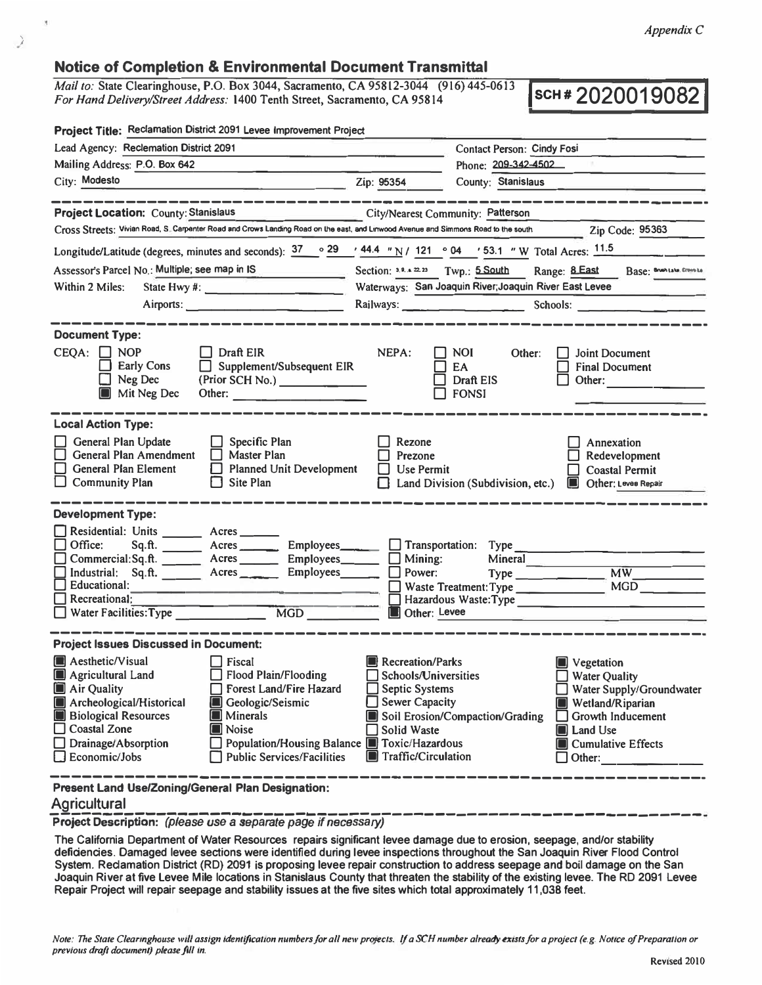## **Notice of Completion & Environmental Document Transmittal**

*Mail to:* **State Clearinghouse, P.O. Box 3044, Sacramento, CA 95812-3044 (916) 445-0613**  *For Hand Delivery/Street Address:* **1400 Tenth Street, Sacramento, CA 95812-3044** (916) 445-0613 **SCH # 202001908** 

| Project Title: Reclamation District 2091 Levee Improvement Project                                                                                                                                                                                                                                                                                 |                                                                                                                                                                                                                                                                                                                                                                                                                                                                                                                                                                                                                                                                                                |
|----------------------------------------------------------------------------------------------------------------------------------------------------------------------------------------------------------------------------------------------------------------------------------------------------------------------------------------------------|------------------------------------------------------------------------------------------------------------------------------------------------------------------------------------------------------------------------------------------------------------------------------------------------------------------------------------------------------------------------------------------------------------------------------------------------------------------------------------------------------------------------------------------------------------------------------------------------------------------------------------------------------------------------------------------------|
| Lead Agency: Reclemation District 2091                                                                                                                                                                                                                                                                                                             | Contact Person: Cindy Fosi                                                                                                                                                                                                                                                                                                                                                                                                                                                                                                                                                                                                                                                                     |
| Mailing Address: P.O. Box 642                                                                                                                                                                                                                                                                                                                      | Phone: 209-342-4502                                                                                                                                                                                                                                                                                                                                                                                                                                                                                                                                                                                                                                                                            |
| City: Modesto                                                                                                                                                                                                                                                                                                                                      | Zip: 95354<br>County: Stanislaus                                                                                                                                                                                                                                                                                                                                                                                                                                                                                                                                                                                                                                                               |
|                                                                                                                                                                                                                                                                                                                                                    |                                                                                                                                                                                                                                                                                                                                                                                                                                                                                                                                                                                                                                                                                                |
| <b>Project Location: County: Stanislaus</b>                                                                                                                                                                                                                                                                                                        | City/Nearest Community: Patterson                                                                                                                                                                                                                                                                                                                                                                                                                                                                                                                                                                                                                                                              |
| Cross Streets; Vivian Road, S. Carpanter Road and Crows Landing Road on the east, and Linwood Avenue and Simmons Road to the south                                                                                                                                                                                                                 | Zip Code: 95363                                                                                                                                                                                                                                                                                                                                                                                                                                                                                                                                                                                                                                                                                |
| Longitude/Latitude (degrees, minutes and seconds): $\frac{37}{9}$ $\frac{29}{44.4}$ $\frac{44.4}{1}$ $\frac{1}{1}$ / 121 $\degree$ 04 $\degree$ 53.1 $\degree$ W Total Acres; 11.5                                                                                                                                                                 |                                                                                                                                                                                                                                                                                                                                                                                                                                                                                                                                                                                                                                                                                                |
| Assessor's Parcel No.: Multiple; see map in IS<br>the control of the control of                                                                                                                                                                                                                                                                    | Section: 3.9.4.22.23 Twp.: 5.South Range: 8.East Base: Brushake. Crown La                                                                                                                                                                                                                                                                                                                                                                                                                                                                                                                                                                                                                      |
| Within 2 Miles:<br>State Hwy $\#$ :                                                                                                                                                                                                                                                                                                                | Waterways: San Joaquin River; Joaquin River East Levee                                                                                                                                                                                                                                                                                                                                                                                                                                                                                                                                                                                                                                         |
|                                                                                                                                                                                                                                                                                                                                                    | Railways: $\frac{1}{\sqrt{1-\frac{1}{2}} \cdot \sqrt{1-\frac{1}{2}} \cdot \sqrt{1-\frac{1}{2}} \cdot \sqrt{1-\frac{1}{2}} \cdot \sqrt{1-\frac{1}{2}} \cdot \sqrt{1-\frac{1}{2}} \cdot \sqrt{1-\frac{1}{2}} \cdot \sqrt{1-\frac{1}{2}} \cdot \sqrt{1-\frac{1}{2}} \cdot \sqrt{1-\frac{1}{2}} \cdot \sqrt{1-\frac{1}{2}} \cdot \sqrt{1-\frac{1}{2}} \cdot \sqrt{1-\frac{1}{2}} \cdot \sqrt{1-\frac{1}{2}} \cdot \sqrt{1-\frac{1}{2}} \cdot \sqrt{1-\frac{1}{2$<br>Schools: The Contract of the Contract of the Contract of the Contract of the Contract of the Contract of the Contract of the Contract of the Contract of the Contract of the Contract of the Contract of the Contract of the C |
|                                                                                                                                                                                                                                                                                                                                                    |                                                                                                                                                                                                                                                                                                                                                                                                                                                                                                                                                                                                                                                                                                |
| <b>Document Type:</b>                                                                                                                                                                                                                                                                                                                              |                                                                                                                                                                                                                                                                                                                                                                                                                                                                                                                                                                                                                                                                                                |
| $\Box$ Draft EIR<br>$CEQA: \Box NOP$<br>$\Box$ Supplement/Subsequent EIR<br><b>Early Cons</b><br>$\Box$ Neg Dec<br>(Prior SCH No.)<br>Mit Neg Dec<br>Other:                                                                                                                                                                                        | NEPA:<br>Other:<br><b>Joint Document</b><br>NOI.<br>EA<br><b>Final Document</b><br>Draft EIS<br>Other:<br><b>FONSI</b>                                                                                                                                                                                                                                                                                                                                                                                                                                                                                                                                                                         |
| <b>Local Action Type:</b>                                                                                                                                                                                                                                                                                                                          |                                                                                                                                                                                                                                                                                                                                                                                                                                                                                                                                                                                                                                                                                                |
| General Plan Update<br>Specific Plan<br>General Plan Amendment<br>Master Plan<br>General Plan Element<br>Planned Unit Development<br>$\Box$ Community Plan<br>Site Plan<br>H                                                                                                                                                                       | Rezone<br>Annexation<br>Redevelopment<br>Prezone<br>Use Permit<br><b>Coastal Permit</b><br>LΙ<br>Land Division (Subdivision, etc.)<br>Other: Leves Repair                                                                                                                                                                                                                                                                                                                                                                                                                                                                                                                                      |
| <b>Development Type:</b>                                                                                                                                                                                                                                                                                                                           |                                                                                                                                                                                                                                                                                                                                                                                                                                                                                                                                                                                                                                                                                                |
| Residential: Units ________ Acres ______<br>Office:<br>Sq.ft.<br>Employees_<br>Commercial:Sq.ft. _______ Acres _______ Employees____<br>Industrial: Sq.ft. Acres<br>Employees____<br>$\Box$ Educational:<br>$\Box$ Recreational:<br>Water Facilities: Type MGD                                                                                     | $\Box$ Transportation: Type<br>Mining:<br>Mineral<br><b>MW</b><br>$\Box$ Power:<br>MGD<br>Waste Treatment: Type<br>Hazardous Waste: Type<br>Other: Levee                                                                                                                                                                                                                                                                                                                                                                                                                                                                                                                                       |
| <b>Project Issues Discussed in Document:</b>                                                                                                                                                                                                                                                                                                       |                                                                                                                                                                                                                                                                                                                                                                                                                                                                                                                                                                                                                                                                                                |
| <b>Aesthetic/Visual</b><br><b>Fiscal</b><br><b>Flood Plain/Flooding</b><br>Agricultural Land<br>Air Quality<br>Forest Land/Fire Hazard<br>Archeological/Historical<br>Geologic/Seismic<br><b>Biological Resources</b><br><b>Minerals</b><br>□ Coastal Zone<br>Noise<br>□ Drainage/Absorption<br><b>Public Services/Facilities</b><br>Economic/Jobs | <b>Recreation/Parks</b><br>Vegetation<br>Schools/Universities<br><b>Water Quality</b><br>Septic Systems<br>Water Supply/Groundwater<br><b>Sewer Capacity</b><br>Wetland/Riparian<br>Soil Erosion/Compaction/Grading<br>Growth Inducement<br>Land Use<br>Solid Waste<br>Population/Housing Balance <b>P</b> Toxic/Hazardous<br>Cumulative Effects<br>Traffic/Circulation<br>Other:                                                                                                                                                                                                                                                                                                              |
| <b>Present Land Use/Zoning/General Plan Designation:</b>                                                                                                                                                                                                                                                                                           |                                                                                                                                                                                                                                                                                                                                                                                                                                                                                                                                                                                                                                                                                                |

## **Agricultural**

**)** 

Project Description: (please use a separate page if necessary)

**The California Department of Water Resources repairs significant levee damage due to erosion, seepage, and/or stability deficiencies. Damaged levee sections were identified during levee inspections throughout the San Joaquin River Flood Control System. Reclamation District (RD) 2091 is proposing levee repair construction to address seepage and boil damage on the San Joaquin River at five Levee Mile locations in Stanislaus County that threaten the stability of the existing levee. The RD 2091 Levee Repair Project wilt repair seepage and stability issues at the five sites which total approximately 11,038 feet.** 

*Note: The State Clearinghouse will assign identification numbers for all new projects. If a SCH number already exists for a project (e.g. Notice of Preparation or previous draft document) please fill in.*